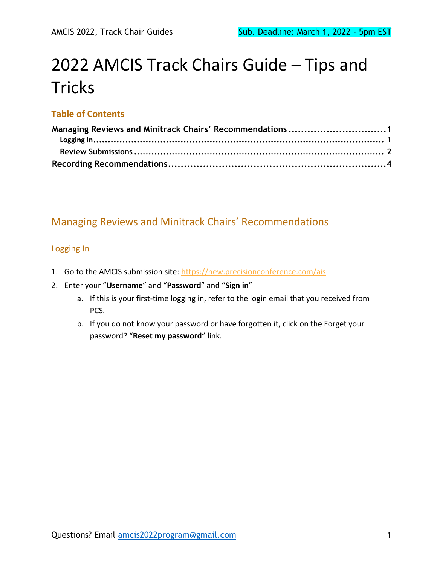# 2022 AMCIS Track Chairs Guide – Tips and **Tricks**

#### **Table of Contents**

| Managing Reviews and Minitrack Chairs' Recommendations 1 |  |
|----------------------------------------------------------|--|
|                                                          |  |
|                                                          |  |
|                                                          |  |

#### <span id="page-0-0"></span>Managing Reviews and Minitrack Chairs' Recommendations

#### <span id="page-0-1"></span>Logging In

- 1. Go to the AMCIS submission site:<https://new.precisionconference.com/ais>
- 2. Enter your "**Username**" and "**Password**" and "**Sign in**"
	- a. If this is your first-time logging in, refer to the login email that you received from PCS.
	- b. If you do not know your password or have forgotten it, click on the Forget your password? "**Reset my password**" link.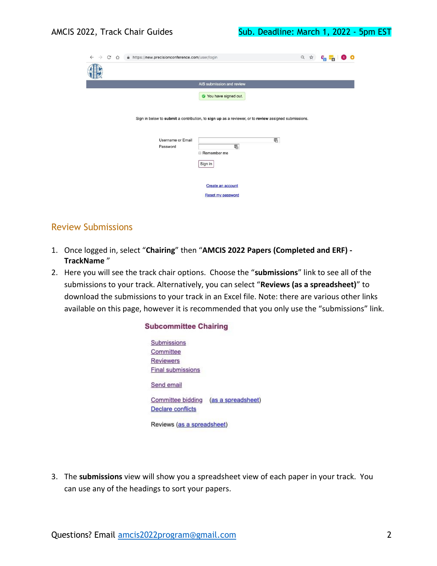| $\mathcal{C}$<br>A https://new.precisionconference.com/user/login<br>$\rightarrow$<br>$\triangle$<br>$\leftarrow$ |                                                                                                      | Q ☆ | $\mathbf{c}_0$ : |  |
|-------------------------------------------------------------------------------------------------------------------|------------------------------------------------------------------------------------------------------|-----|------------------|--|
|                                                                                                                   |                                                                                                      |     |                  |  |
|                                                                                                                   | AIS submission and review                                                                            |     |                  |  |
|                                                                                                                   | You have signed out.                                                                                 |     |                  |  |
|                                                                                                                   | Sign in below to submit a contribution, to sign up as a reviewer, or to review assigned submissions. |     |                  |  |
| <b>Username or Email</b><br>Password                                                                              | 黾<br>喝<br>Remember me                                                                                |     |                  |  |
|                                                                                                                   | Sign in                                                                                              |     |                  |  |
|                                                                                                                   | Create an account<br><b>Reset my password</b>                                                        |     |                  |  |

#### <span id="page-1-0"></span>Review Submissions

1. Once logged in, select "**Chairing**" then "**AMCIS 2022 Papers (Completed and ERF) - TrackName** "

**Subcommittee Chairing** 

2. Here you will see the track chair options. Choose the "**submissions**" link to see all of the submissions to your track. Alternatively, you can select "**Reviews (as a spreadsheet)**" to download the submissions to your track in an Excel file. Note: there are various other links available on this page, however it is recommended that you only use the "submissions" link.

> Submissions Committee **Reviewers Final submissions** Send email Committee bidding (as a spreadsheet) **Declare** conflicts Reviews (as a spreadsheet)

3. The **submissions** view will show you a spreadsheet view of each paper in your track. You can use any of the headings to sort your papers.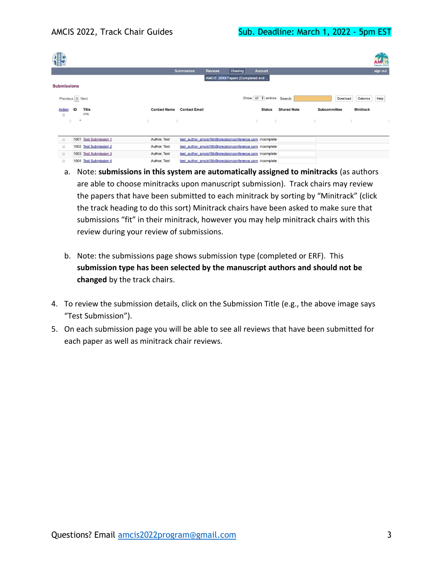|                          |                        |                     |                                                         |                                  |          |                                 |                    |                     |                     | Cancún 2019 |
|--------------------------|------------------------|---------------------|---------------------------------------------------------|----------------------------------|----------|---------------------------------|--------------------|---------------------|---------------------|-------------|
|                          |                        |                     | Submissions                                             | Reviews                          | Chairing | Account                         |                    |                     |                     | sign out    |
|                          |                        |                     |                                                         | AMCIS 20XX Papers (Completed and |          |                                 |                    |                     |                     |             |
| <b>Submissions</b>       |                        |                     |                                                         |                                  |          |                                 |                    |                     |                     |             |
| Previous 1 Next          |                        |                     |                                                         |                                  |          | Show all $\div$ entries Search: |                    |                     | Columns<br>Download | Help        |
| <b>Action</b><br>ID<br>₿ | <b>Title</b><br>(728)  | <b>Contact Name</b> | <b>Contact Email</b>                                    |                                  |          | <b>Status</b>                   | <b>Shared Note</b> | <b>Subcommittee</b> | <b>Minitrack</b>    |             |
| ۸                        |                        | Δ<br>÷              |                                                         |                                  |          | š<br>÷                          |                    | ÷                   |                     | ÷           |
|                          |                        |                     |                                                         |                                  |          |                                 |                    |                     |                     |             |
| 日                        | 1001 Test Submission 1 | Author, Test        | test author amcis19b@precisionconference.com incomplete |                                  |          |                                 |                    |                     |                     |             |
| 0                        | 1002 Test Submission 2 | Author, Test        | test author amcis19b@precisionconference.com incomplete |                                  |          |                                 |                    |                     |                     |             |
| $\Box$                   | 1003 Test Submission 3 | Author, Test        | test author amcis19b@precisionconference.com incomplete |                                  |          |                                 |                    |                     |                     |             |
| 0                        | 1004 Test Submission 4 | Author, Test        | test author amcis19b@precisionconference.com incomplete |                                  |          |                                 |                    |                     |                     |             |

- a. Note: **submissions in this system are automatically assigned to minitracks** (as authors are able to choose minitracks upon manuscript submission). Track chairs may review the papers that have been submitted to each minitrack by sorting by "Minitrack" (click the track heading to do this sort) Minitrack chairs have been asked to make sure that submissions "fit" in their minitrack, however you may help minitrack chairs with this review during your review of submissions.
- b. Note: the submissions page shows submission type (completed or ERF). This **submission type has been selected by the manuscript authors and should not be changed** by the track chairs.
- 4. To review the submission details, click on the Submission Title (e.g., the above image says "Test Submission").
- 5. On each submission page you will be able to see all reviews that have been submitted for each paper as well as minitrack chair reviews.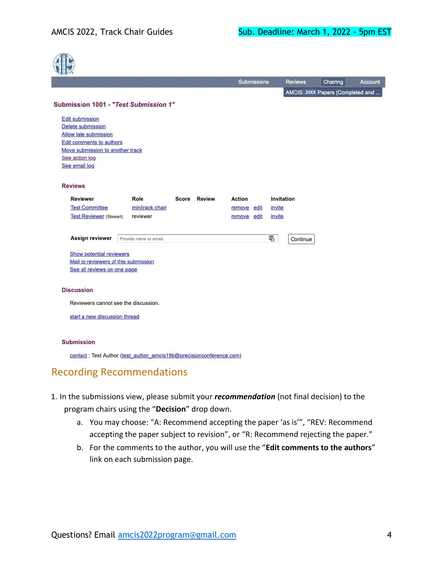**ATTE** 

|                                      |                                       |       |               | <b>Submissions</b> |  |            | <b>Reviews</b> | Chairing                         | Account |
|--------------------------------------|---------------------------------------|-------|---------------|--------------------|--|------------|----------------|----------------------------------|---------|
|                                      |                                       |       |               |                    |  |            |                | AMCIS 20XX Papers (Completed and |         |
|                                      | Submission 1001 - "Test Submission 1" |       |               |                    |  |            |                |                                  |         |
| <b>Edit submission</b>               |                                       |       |               |                    |  |            |                |                                  |         |
| Delete submission                    |                                       |       |               |                    |  |            |                |                                  |         |
| Allow late submission                |                                       |       |               |                    |  |            |                |                                  |         |
| <b>Edit comments to authors</b>      |                                       |       |               |                    |  |            |                |                                  |         |
| Move submission to another track     |                                       |       |               |                    |  |            |                |                                  |         |
| See action log                       |                                       |       |               |                    |  |            |                |                                  |         |
| See email log                        |                                       |       |               |                    |  |            |                |                                  |         |
| <b>Reviews</b>                       |                                       |       |               |                    |  |            |                |                                  |         |
| <b>Reviewer</b>                      | Role                                  | Score | <b>Review</b> | Action             |  | Invitation |                |                                  |         |
| <b>Test Committee</b>                | minitrack chair                       |       |               | remove edit        |  | invite     |                |                                  |         |
| <b>Test Reviewer</b> (Stewart)       | reviewer                              |       |               | remove edit        |  | invite     |                |                                  |         |
| <b>Assign reviewer</b>               | Provide name or email.                |       |               |                    |  | 喎          | Continue       |                                  |         |
| <b>Show potential reviewers</b>      |                                       |       |               |                    |  |            |                |                                  |         |
| Mail to reviewers of this submission |                                       |       |               |                    |  |            |                |                                  |         |
| See all reviews on one page          |                                       |       |               |                    |  |            |                |                                  |         |
| <b>Discussion</b>                    |                                       |       |               |                    |  |            |                |                                  |         |
|                                      | Reviewers cannot see the discussion.  |       |               |                    |  |            |                |                                  |         |
|                                      |                                       |       |               |                    |  |            |                |                                  |         |

contact: Test Author (test\_author\_amcis19b@precisionconference.com)

### <span id="page-3-0"></span>Recording Recommendations

- 1. In the submissions view, please submit your *recommendation* (not final decision) to the program chairs using the "**Decision**" drop down.
	- a. You may choose: "A: Recommend accepting the paper 'as is'", "REV: Recommend accepting the paper subject to revision", or "R: Recommend rejecting the paper."
	- b. For the comments to the author, you will use the "**Edit comments to the authors**" link on each submission page.